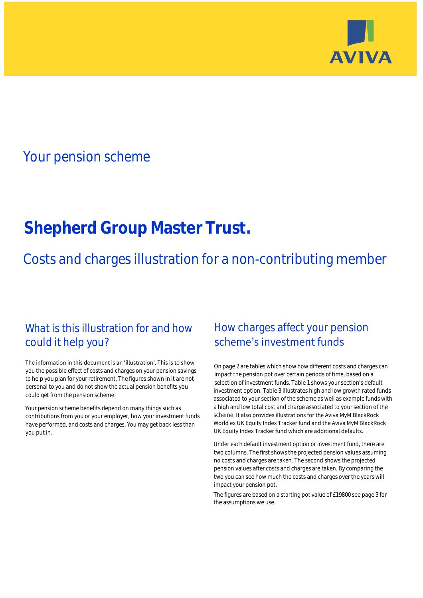

## Your pension scheme

# **Shepherd Group Master Trust.**

Costs and charges illustration for a non-contributing member

### What is this illustration for and how could it help you?

#### The information in this document is an 'illustration'. This is to show you the possible effect of costs and charges on your pension savings to help you plan for your retirement. The figures shown in it are not personal to you and do not show the actual pension benefits you could get from the pension scheme.

Your pension scheme benefits depend on many things such as contributions from you or your employer, how your investment funds have performed, and costs and charges. You may get back less than you put in.

### How charges affect your pension scheme's investment funds

On page 2 are tables which show how different costs and charges can impact the pension pot over certain periods of time, based on a selection of investment funds. Table 1 shows your section's default investment option. Table 3 illustrates high and low growth rated funds associated to your section of the scheme as well as example funds with a high and low total cost and charge associated to your section of the scheme. It also provides illustrations for the Aviva MyM BlackRock World ex UK Equity Index Tracker fund and the Aviva MyM BlackRock UK Equity Index Tracker fund which are additional defaults.

Under each default investment option or investment fund, there are two columns. The first shows the projected pension values assuming no costs and charges are taken. The second shows the projected pension values after costs and charges are taken. By comparing the two you can see how much the costs and charges over the years will impact your pension pot.

The figures are based on a starting pot value of £19800 see page 3 for the assumptions we use.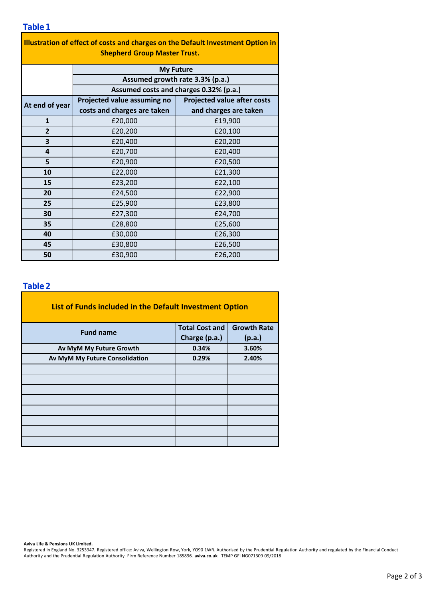| Illustration of effect of costs and charges on the Default Investment Option in |
|---------------------------------------------------------------------------------|
| <b>Shepherd Group Master Trust.</b>                                             |

|                | <b>My Future</b>                                                          |                                    |  |  |  |  |  |
|----------------|---------------------------------------------------------------------------|------------------------------------|--|--|--|--|--|
|                | Assumed growth rate 3.3% (p.a.)<br>Assumed costs and charges 0.32% (p.a.) |                                    |  |  |  |  |  |
|                |                                                                           |                                    |  |  |  |  |  |
| At end of year | Projected value assuming no                                               | <b>Projected value after costs</b> |  |  |  |  |  |
|                | costs and charges are taken                                               | and charges are taken              |  |  |  |  |  |
| $\mathbf{1}$   | £20,000                                                                   | £19,900                            |  |  |  |  |  |
| $\overline{2}$ | £20,200                                                                   | £20,100                            |  |  |  |  |  |
| 3              | £20,400                                                                   | £20,200                            |  |  |  |  |  |
| $\overline{a}$ | £20,700                                                                   | £20,400                            |  |  |  |  |  |
| 5              | £20,900                                                                   | £20,500                            |  |  |  |  |  |
| 10             | £22,000                                                                   | £21,300                            |  |  |  |  |  |
| 15             | £23,200                                                                   | £22,100                            |  |  |  |  |  |
| 20             | £24,500                                                                   | £22,900                            |  |  |  |  |  |
| 25             | £25,900                                                                   | £23,800                            |  |  |  |  |  |
| 30             | £27,300                                                                   | £24,700                            |  |  |  |  |  |
| 35             | £28,800                                                                   | £25,600                            |  |  |  |  |  |
| 40             | £30,000                                                                   | £26,300                            |  |  |  |  |  |
| 45             | £30,800                                                                   | £26,500                            |  |  |  |  |  |
| 50             | £30,900                                                                   | £26,200                            |  |  |  |  |  |

#### **Table 2**

| List of Funds included in the Default Investment Option |                       |                    |  |  |  |  |  |
|---------------------------------------------------------|-----------------------|--------------------|--|--|--|--|--|
| <b>Fund name</b>                                        | <b>Total Cost and</b> | <b>Growth Rate</b> |  |  |  |  |  |
|                                                         | Charge (p.a.)         | (p.a.)             |  |  |  |  |  |
| Av MyM My Future Growth                                 | 0.34%                 | 3.60%              |  |  |  |  |  |
| Av MyM My Future Consolidation                          | 0.29%                 | 2.40%              |  |  |  |  |  |
|                                                         |                       |                    |  |  |  |  |  |
|                                                         |                       |                    |  |  |  |  |  |
|                                                         |                       |                    |  |  |  |  |  |
|                                                         |                       |                    |  |  |  |  |  |
|                                                         |                       |                    |  |  |  |  |  |
|                                                         |                       |                    |  |  |  |  |  |
|                                                         |                       |                    |  |  |  |  |  |
|                                                         |                       |                    |  |  |  |  |  |

**Aviva Life & Pensions UK Limited.**

Registered in England No. 3253947. Registered office: Aviva, Wellington Row, York, YO90 1WR. Authorised by the Prudential Regulation Authority and regulated by the Financial Conduct Authority and the Prudential Regulation Authority. Firm Reference Number 185896. **aviva.co.uk** TEMP GFI NG071309 09/2018